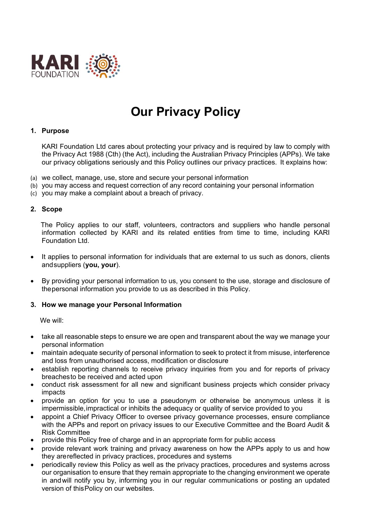

# **Our Privacy Policy**

#### **1. Purpose**

KARI Foundation Ltd cares about protecting your privacy and is required by law to comply with the Privacy Act 1988 (Cth) (the Act), including the Australian Privacy Principles (APPs). We take our privacy obligations seriously and this Policy outlines our privacy practices. It explains how:

- (a) we collect, manage, use, store and secure your personal information
- (b) you may access and request correction of any record containing your personal information
- (c) you may make a complaint about a breach of privacy.

#### **2. Scope**

The Policy applies to our staff, volunteers, contractors and suppliers who handle personal information collected by KARI and its related entities from time to time, including KARI Foundation Ltd.

- It applies to personal information for individuals that are external to us such as donors, clients andsuppliers (**you, your**).
- By providing your personal information to us, you consent to the use, storage and disclosure of thepersonal information you provide to us as described in this Policy.

#### **3. How we manage your Personal Information**

We will:

- take all reasonable steps to ensure we are open and transparent about the way we manage your personal information
- maintain adequate security of personal information to seek to protect it from misuse, interference and loss from unauthorised access, modification or disclosure
- establish reporting channels to receive privacy inquiries from you and for reports of privacy breachesto be received and acted upon
- conduct risk assessment for all new and significant business projects which consider privacy impacts
- provide an option for you to use a pseudonym or otherwise be anonymous unless it is impermissible,impractical or inhibits the adequacy or quality of service provided to you
- appoint a Chief Privacy Officer to oversee privacy governance processes, ensure compliance with the APPs and report on privacy issues to our Executive Committee and the Board Audit & Risk Committee
- provide this Policy free of charge and in an appropriate form for public access
- provide relevant work training and privacy awareness on how the APPs apply to us and how they arereflected in privacy practices, procedures and systems
- periodically review this Policy as well as the privacy practices, procedures and systems across our organisation to ensure that they remain appropriate to the changing environment we operate in andwill notify you by, informing you in our regular communications or posting an updated version of thisPolicy on our websites.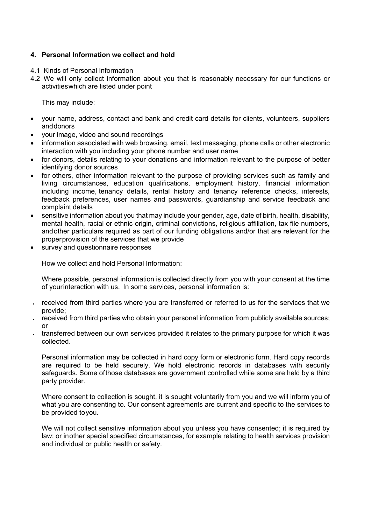# **4. Personal Information we collect and hold**

- 4.1 Kinds of Personal Information
- 4.2 We will only collect information about you that is reasonably necessary for our functions or activitieswhich are listed under point

This may include:

- your name, address, contact and bank and credit card details for clients, volunteers, suppliers anddonors
- your image, video and sound recordings
- information associated with web browsing, email, text messaging, phone calls or other electronic interaction with you including your phone number and user name
- for donors, details relating to your donations and information relevant to the purpose of better identifying donor sources
- for others, other information relevant to the purpose of providing services such as family and living circumstances, education qualifications, employment history, financial information including income, tenancy details, rental history and tenancy reference checks, interests, feedback preferences, user names and passwords, guardianship and service feedback and complaint details
- sensitive information about you that may include your gender, age, date of birth, health, disability, mental health, racial or ethnic origin, criminal convictions, religious affiliation, tax file numbers, andother particulars required as part of our funding obligations and/or that are relevant for the properprovision of the services that we provide
- survey and questionnaire responses

How we collect and hold Personal Information:

Where possible, personal information is collected directly from you with your consent at the time of yourinteraction with us. In some services, personal information is:

- received from third parties where you are transferred or referred to us for the services that we provide;
- received from third parties who obtain your personal information from publicly available sources; or
- transferred between our own services provided it relates to the primary purpose for which it was collected.

Personal information may be collected in hard copy form or electronic form. Hard copy records are required to be held securely. We hold electronic records in databases with security safeguards. Some ofthose databases are government controlled while some are held by a third party provider.

Where consent to collection is sought, it is sought voluntarily from you and we will inform you of what you are consenting to. Our consent agreements are current and specific to the services to be provided toyou.

We will not collect sensitive information about you unless you have consented; it is required by law; or inother special specified circumstances, for example relating to health services provision and individual or public health or safety.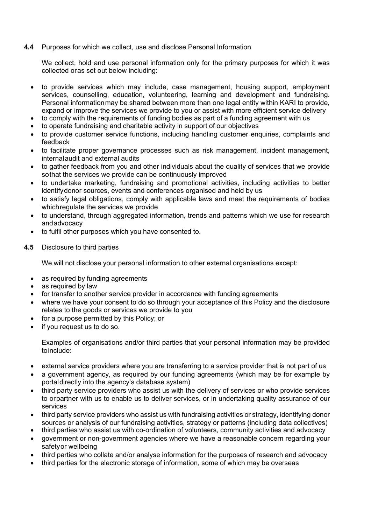**4.4** Purposes for which we collect, use and disclose Personal Information

We collect, hold and use personal information only for the primary purposes for which it was collected oras set out below including:

- to provide services which may include, case management, housing support, employment services, counselling, education, volunteering, learning and development and fundraising. Personal informationmay be shared between more than one legal entity within KARI to provide, expand or improve the services we provide to you or assist with more efficient service delivery
- to comply with the requirements of funding bodies as part of a funding agreement with us
- to operate fundraising and charitable activity in support of our objectives
- to provide customer service functions, including handling customer enquiries, complaints and feedback
- to facilitate proper governance processes such as risk management, incident management, internalaudit and external audits
- to gather feedback from you and other individuals about the quality of services that we provide sothat the services we provide can be continuously improved
- to undertake marketing, fundraising and promotional activities, including activities to better identifydonor sources, events and conferences organised and held by us
- to satisfy legal obligations, comply with applicable laws and meet the requirements of bodies whichregulate the services we provide
- to understand, through aggregated information, trends and patterns which we use for research andadvocacy
- to fulfil other purposes which you have consented to.
- **4.5** Disclosure to third parties

We will not disclose your personal information to other external organisations except:

- as required by funding agreements
- as required by law
- for transfer to another service provider in accordance with funding agreements
- where we have your consent to do so through your acceptance of this Policy and the disclosure relates to the goods or services we provide to you
- for a purpose permitted by this Policy; or
- if you request us to do so.

Examples of organisations and/or third parties that your personal information may be provided toinclude:

- external service providers where you are transferring to a service provider that is not part of us
- a government agency, as required by our funding agreements (which may be for example by portaldirectly into the agency's database system)
- third party service providers who assist us with the delivery of services or who provide services to orpartner with us to enable us to deliver services, or in undertaking quality assurance of our services
- third party service providers who assist us with fundraising activities or strategy, identifying donor sources or analysis of our fundraising activities, strategy or patterns (including data collectives)
- third parties who assist us with co-ordination of volunteers, community activities and advocacy
- government or non-government agencies where we have a reasonable concern regarding your safetyor wellbeing
- third parties who collate and/or analyse information for the purposes of research and advocacy
- third parties for the electronic storage of information, some of which may be overseas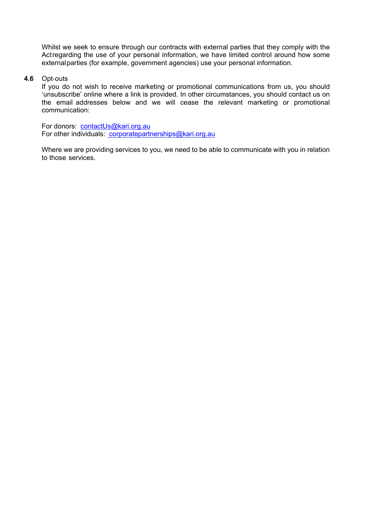Whilst we seek to ensure through our contracts with external parties that they comply with the Act regarding the use of your personal information, we have limited control around how some externalparties (for example, government agencies) use your personal information.

#### **4.6** Opt‐outs

If you do not wish to receive marketing or promotional communications from us, you should 'unsubscribe' online where a link is provided. In other circumstances, you should contact us on the email addresses below and we will cease the relevant marketing or promotional communication:

For donors: contactUs@kari.org.au For other individuals: [corporatepartnerships@kari.org.au](mailto:%20corporatepartnerships@kari.org.au) 

Where we are providing services to you, we need to be able to communicate with you in relation to those services.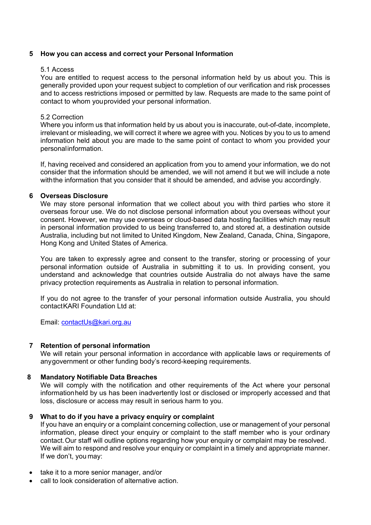#### **5 How you can access and correct your Personal Information**

#### 5.1 Access

You are entitled to request access to the personal information held by us about you. This is generally provided upon your request subject to completion of our verification and risk processes and to access restrictions imposed or permitted by law. Requests are made to the same point of contact to whom youprovided your personal information.

#### 5.2 Correction

Where you inform us that information held by us about you is inaccurate, out-of-date, incomplete, irrelevant or misleading, we will correct it where we agree with you. Notices by you to us to amend information held about you are made to the same point of contact to whom you provided your personalinformation.

If, having received and considered an application from you to amend your information, we do not consider that the information should be amended, we will not amend it but we will include a note withthe information that you consider that it should be amended, and advise you accordingly.

#### **6 Overseas Disclosure**

We may store personal information that we collect about you with third parties who store it overseas forour use. We do not disclose personal information about you overseas without your consent. However, we may use overseas or cloud-based data hosting facilities which may result in personal information provided to us being transferred to, and stored at, a destination outside Australia, including but not limited to United Kingdom, New Zealand, Canada, China, Singapore, Hong Kong and United States of America.

You are taken to expressly agree and consent to the transfer, storing or processing of your personal information outside of Australia in submitting it to us. In providing consent, you understand and acknowledge that countries outside Australia do not always have the same privacy protection requirements as Australia in relation to personal information.

If you do not agree to the transfer of your personal information outside Australia, you should contact KARI Foundation Ltd at:

Email: [contactUs@kari.org.au](mailto:contactUs@kari.org.au)

#### **7 Retention of personal information**

We will retain your personal information in accordance with applicable laws or requirements of anygovernment or other funding body's record-keeping requirements.

#### **8 Mandatory Notifiable Data Breaches**

We will comply with the notification and other requirements of the Act where your personal informationheld by us has been inadvertently lost or disclosed or improperly accessed and that loss, disclosure or access may result in serious harm to you.

#### **9 What to do if you have a privacy enquiry or complaint**

If you have an enquiry or a complaint concerning collection, use or management of your personal information, please direct your enquiry or complaint to the staff member who is your ordinary contact.Our staff will outline options regarding how your enquiry or complaint may be resolved. We will aim to respond and resolve your enquiry or complaint in a timely and appropriate manner. If we don't, you may:

- take it to a more senior manager, and/or
- call to look consideration of alternative action.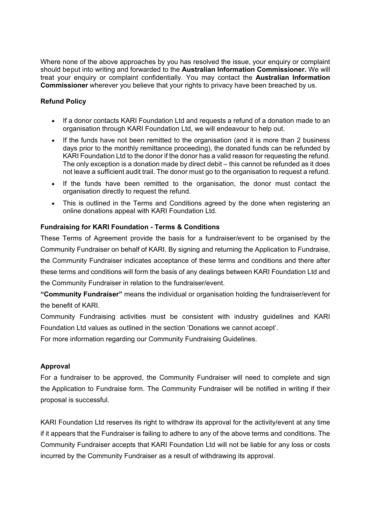Where none of the above approaches by you has resolved the issue, your enquiry or complaint should beput into writing and forwarded to the **Australian Information Commissioner.** We will treat your enquiry or complaint confidentially. You may contact the **Australian Information Commissioner** wherever you believe that your rights to privacy have been breached by us.

# **Refund Policy**

- If a donor contacts KARI Foundation Ltd and requests a refund of a donation made to an organisation through KARI Foundation Ltd, we will endeavour to help out.
- If the funds have not been remitted to the organisation (and it is more than 2 business days prior to the monthly remittance proceeding), the donated funds can be refunded by KARI Foundation Ltd to the donor if the donor has a valid reason for requesting the refund. The only exception is a donation made by direct debit – this cannot be refunded as it does not leave a sufficient audit trail. The donor must go to the organisation to request a refund.
- If the funds have been remitted to the organisation, the donor must contact the organisation directly to request the refund.
- This is outlined in the Terms and Conditions agreed by the done when registering an online donations appeal with KARI Foundation Ltd.

# **Fundraising for KARI Foundation - Terms & Conditions**

These Terms of Agreement provide the basis for a fundraiser/event to be organised by the Community Fundraiser on behalf of KARI. By signing and returning the Application to Fundraise, the Community Fundraiser indicates acceptance of these terms and conditions and there after these terms and conditions will form the basis of any dealings between KARI Foundation Ltd and the Community Fundraiser in relation to the fundraiser/event.

**"Community Fundraiser"** means the individual or organisation holding the fundraiser/event for the benefit of KARI.

Community Fundraising activities must be consistent with industry guidelines and KARI Foundation Ltd values as outlined in the section 'Donations we cannot accept'.

For more information regarding our Community Fundraising Guidelines.

## **Approval**

For a fundraiser to be approved, the Community Fundraiser will need to complete and sign the [Application to Fundraise form.](https://act.missionaustralia.com.au/getasset/51WEVJ) The Community Fundraiser will be notified in writing if their proposal is successful.

KARI Foundation Ltd reserves its right to withdraw its approval for the activity/event at any time if it appears that the Fundraiser is failing to adhere to any of the above terms and conditions. The Community Fundraiser accepts that KARI Foundation Ltd will not be liable for any loss or costs incurred by the Community Fundraiser as a result of withdrawing its approval.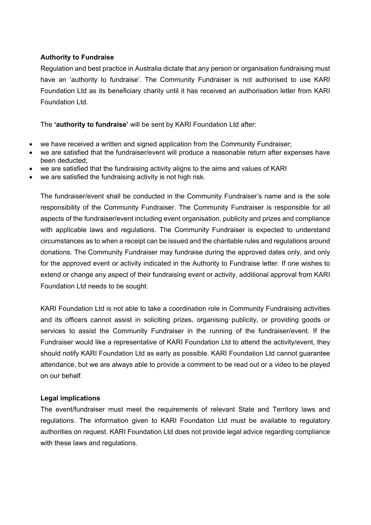# **Authority to Fundraise**

Regulation and best practice in Australia dictate that any person or organisation fundraising must have an 'authority to fundraise'. The Community Fundraiser is not authorised to use KARI Foundation Ltd as its beneficiary charity until it has received an authorisation letter from KARI Foundation Ltd.

The **'authority to fundraise'** will be sent by KARI Foundation Ltd after:

- we have received a written and signed application from the Community Fundraiser;
- we are satisfied that the fundraiser/event will produce a reasonable return after expenses have been deducted;
- we are satisfied that the fundraising activity aligns to the aims and values of KARI
- we are satisfied the fundraising activity is not high risk.

The fundraiser/event shall be conducted in the Community Fundraiser's name and is the sole responsibility of the Community Fundraiser. The Community Fundraiser is responsible for all aspects of the fundraiser/event including event organisation, publicity and prizes and compliance with applicable laws and regulations. The Community Fundraiser is expected to understand circumstances as to when a receipt can be issued and the charitable rules and regulations around donations. The Community Fundraiser may fundraise during the approved dates only, and only for the approved event or activity indicated in the Authority to Fundraise letter. If one wishes to extend or change any aspect of their fundraising event or activity, additional approval from KARI Foundation Ltd needs to be sought.

KARI Foundation Ltd is not able to take a coordination role in Community Fundraising activities and its officers cannot assist in soliciting prizes, organising publicity, or providing goods or services to assist the Community Fundraiser in the running of the fundraiser/event. If the Fundraiser would like a representative of KARI Foundation Ltd to attend the activity/event, they should notify KARI Foundation Ltd as early as possible. KARI Foundation Ltd cannot guarantee attendance, but we are always able to provide a comment to be read out or a video to be played on our behalf.

## **Legal implications**

The event/fundraiser must meet the requirements of relevant State and Territory laws and regulations. The information given to KARI Foundation Ltd must be available to regulatory authorities on request. KARI Foundation Ltd does not provide legal advice regarding compliance with these laws and regulations.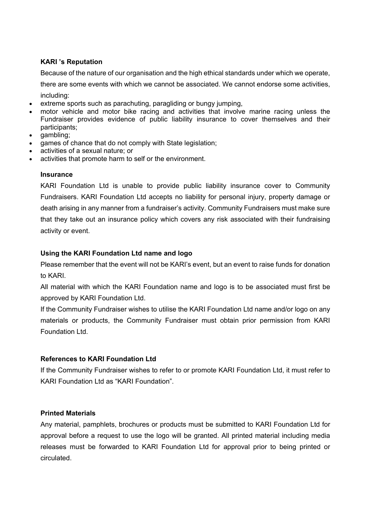# **KARI 's Reputation**

Because of the nature of our organisation and the high ethical standards under which we operate,

there are some events with which we cannot be associated. We cannot endorse some activities, including:

- extreme sports such as parachuting, paragliding or bungy jumping,
- motor vehicle and motor bike racing and activities that involve marine racing unless the Fundraiser provides evidence of public liability insurance to cover themselves and their participants;
- gambling;
- games of chance that do not comply with State legislation;
- activities of a sexual nature; or
- activities that promote harm to self or the environment.

## **Insurance**

KARI Foundation Ltd is unable to provide public liability insurance cover to Community Fundraisers. KARI Foundation Ltd accepts no liability for personal injury, property damage or death arising in any manner from a fundraiser's activity. Community Fundraisers must make sure that they take out an insurance policy which covers any risk associated with their fundraising activity or event.

# **Using the KARI Foundation Ltd name and logo**

Please remember that the event will not be KARI's event, but an event to raise funds for donation to KARI.

All material with which the KARI Foundation name and logo is to be associated must first be approved by KARI Foundation Ltd.

If the Community Fundraiser wishes to utilise the KARI Foundation Ltd name and/or logo on any materials or products, the Community Fundraiser must obtain prior permission from KARI Foundation Ltd.

# **References to KARI Foundation Ltd**

If the Community Fundraiser wishes to refer to or promote KARI Foundation Ltd, it must refer to KARI Foundation Ltd as "KARI Foundation".

# **Printed Materials**

Any material, pamphlets, brochures or products must be submitted to KARI Foundation Ltd for approval before a request to use the logo will be granted. All printed material including media releases must be forwarded to KARI Foundation Ltd for approval prior to being printed or circulated.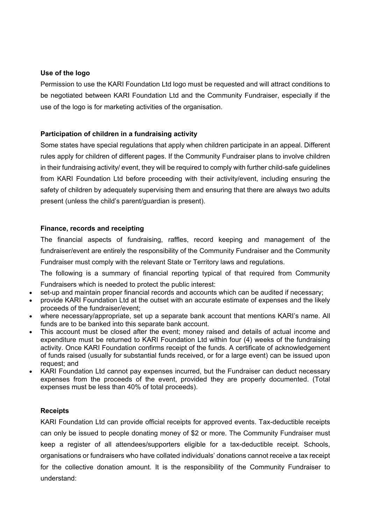# **Use of the logo**

Permission to use the KARI Foundation Ltd logo must be requested and will attract conditions to be negotiated between KARI Foundation Ltd and the Community Fundraiser, especially if the use of the logo is for marketing activities of the organisation.

# **Participation of children in a fundraising activity**

Some states have special regulations that apply when children participate in an appeal. Different rules apply for children of different pages. If the Community Fundraiser plans to involve children in their fundraising activity/ event, they will be required to comply with further child-safe guidelines from KARI Foundation Ltd before proceeding with their activity/event, including ensuring the safety of children by adequately supervising them and ensuring that there are always two adults present (unless the child's parent/guardian is present).

## **Finance, records and receipting**

The financial aspects of fundraising, raffles, record keeping and management of the fundraiser/event are entirely the responsibility of the Community Fundraiser and the Community Fundraiser must comply with the relevant State or Territory laws and regulations.

The following is a summary of financial reporting typical of that required from Community Fundraisers which is needed to protect the public interest:

- set-up and maintain proper financial records and accounts which can be audited if necessary;
- provide KARI Foundation Ltd at the outset with an accurate estimate of expenses and the likely proceeds of the fundraiser/event;
- where necessary/appropriate, set up a separate bank account that mentions KARI's name. All funds are to be banked into this separate bank account.
- This account must be closed after the event; money raised and details of actual income and expenditure must be returned to KARI Foundation Ltd within four (4) weeks of the fundraising activity. Once KARI Foundation confirms receipt of the funds. A certificate of acknowledgement of funds raised (usually for substantial funds received, or for a large event) can be issued upon request; and
- KARI Foundation Ltd cannot pay expenses incurred, but the Fundraiser can deduct necessary expenses from the proceeds of the event, provided they are properly documented. (Total expenses must be less than 40% of total proceeds).

# **Receipts**

KARI Foundation Ltd can provide official receipts for approved events. Tax-deductible receipts can only be issued to people donating money of \$2 or more. The Community Fundraiser must keep a register of all attendees/supporters eligible for a tax-deductible receipt. Schools, organisations or fundraisers who have collated individuals' donations cannot receive a tax receipt for the collective donation amount. It is the responsibility of the Community Fundraiser to understand: